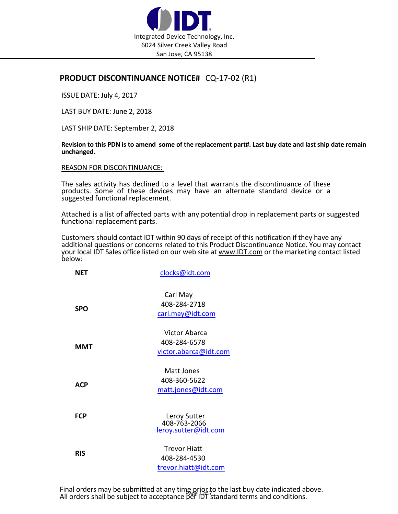

## **PRODUCT DISCONTINUANCE NOTICE#** CQ‐17‐02 (R1)

ISSUE DATE: July 4, 2017

LAST BUY DATE: June 2, 2018

LAST SHIP DATE: September 2, 2018

Revision to this PDN is to amend some of the replacement part#. Last buy date and last ship date remain **unchanged.**

REASON FOR DISCONTINUANCE:

The sales activity has declined to a level that warrants the discontinuance of these products. Some of these devices may have an alternate standard device or a suggested functional replacement.

Attached is a list of affected parts with any potential drop in replacement parts or suggested functional replacement parts.

Customers should contact IDT within 90 days of receipt of this notification if they have any additional questions or concerns related to this Product Discontinuance Notice. You may contact your local IDT Sales office listed on our web site at www.IDT.com or the marketing contact listed below:

| <b>NET</b> | clocks@idt.com                                                |  |
|------------|---------------------------------------------------------------|--|
| <b>SPO</b> | Carl May<br>408-284-2718<br>carl.may@idt.com                  |  |
| <b>MMT</b> | <b>Victor Abarca</b><br>408-284-6578<br>victor.abarca@idt.com |  |
| <b>ACP</b> | Matt Jones<br>408-360-5622<br>matt.jones@idt.com              |  |
| <b>FCP</b> | Leroy Sutter<br>408-763-2066<br>leroy.sutter@idt.com          |  |
| <b>RIS</b> | <b>Trevor Hiatt</b><br>408-284-4530<br>trevor.hiatt@idt.com   |  |

Final orders may be submitted at any time prior to the last buy date indicated above.<br>All orders shall be subject to acceptance per IDT standard terms and conditions.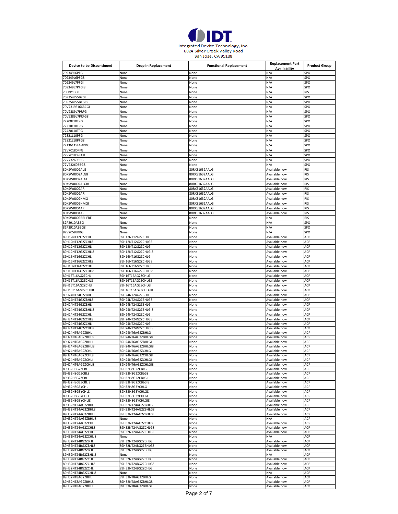

| <b>Device to be Discontinued</b> | <b>Drop in Replacement</b> | <b>Functional Replacement</b> | <b>Replacement Part</b> | <b>Product Group</b> |
|----------------------------------|----------------------------|-------------------------------|-------------------------|----------------------|
|                                  |                            |                               | Availability            |                      |
| 709349L6PFG                      | None                       | None                          | N/A                     | SPO                  |
| 709349L6PFG8                     | None                       | None                          | N/A                     | SPO                  |
| 709349L7PFGI                     | None                       | None                          | N/A                     | SPO                  |
| 709349L7PFGI8                    | None                       | None                          | N/A                     | SPO                  |
| 70EBP1308                        | None                       | None                          | N/A                     | RIS                  |
| 70P254L55BYGI                    | None                       | None                          | N/A                     | SPO                  |
| 70P254L55BYGI8                   | None                       | None                          | N/A                     | SPO                  |
| 70V7319S166BCGI                  | None                       | None                          | N/A                     | SPO                  |
| 70V9389L7PRFG                    | None                       | None                          | N/A                     | SPO                  |
| 70V9389L7PRFG8                   | None                       | None                          | N/A                     | SPO                  |
| 72200L10TPG                      | None                       | None                          | N/A                     | SPO                  |
| 72210L10TPG                      | None                       | None                          | N/A                     | SPO                  |
| 72420L10TPG                      | None                       | None                          | N/A                     | SPO                  |
| 72821L10PFG                      | None                       | None                          | N/A                     | SPO                  |
| 72821L10PFG8                     | None                       | None                          | N/A                     | SPO                  |
| 72T36115L4-4BBG                  |                            |                               | N/A                     | SPO                  |
| 72V70180PFG                      | None                       | None                          | N/A                     | SPO                  |
|                                  | None                       | None                          |                         |                      |
| 72V70180PFG8                     | None                       | None                          | N/A                     | SPO                  |
| 72V73260BBG                      | None                       | None                          | N/A                     | SPO                  |
| 72V73260BBG8                     | None                       | None                          | N/A                     | SPO                  |
| 80KSW0002ALG                     | None                       | 80RXS1632AALG                 | Available now           | <b>RIS</b>           |
| 80KSW0002ALG8                    | None                       | 80RXS1632AALG                 | Available now           | RIS                  |
| 80KSW0002ALGI                    | None                       | 80RXS1632AALGI                | Available now           | <b>RIS</b>           |
| 80KSW0002ALGI8                   | None                       | 80RXS1632AALG                 | Available now           | <b>RIS</b>           |
| 80KSW0002AR                      | None                       | 80RXS1632AALG                 | Available now           | <b>RIS</b>           |
| 80KSW0002ARI                     | None                       | 80RXS1632AALGI                | Available now           | <b>RIS</b>           |
| 80KSW0002HMG                     | None                       | 80RXS1632AALG                 | Available now           | <b>RIS</b>           |
| 80KSW0002HMGI                    | None                       | 80RXS1632AALGI                | Available now           | <b>RIS</b>           |
| 80KSW0004AR                      | None                       | 80RXS1632AALG                 | Available now           | <b>RIS</b>           |
| 80KSW0004ARI                     |                            | 80RXS1632AALGI                | Available now           | <b>RIS</b>           |
|                                  | None                       |                               |                         |                      |
| 80KSW0005BRI-FRE                 | None                       | None                          | N/A                     | <b>RIS</b>           |
| 82P2910ABBG                      | None                       | None                          | N/A                     | SPO                  |
| 82P2910ABBG8                     | None                       | None                          | N/A                     | SPO                  |
| 82V2058LBBG                      | None                       | None                          | N/A                     | SPO                  |
| 89H12NT12G2ZCHL                  | 89H12NT12G2ZCHLG           | None                          | Available now           | ACP                  |
| 89H12NT12G2ZCHL8                 | 89H12NT12G2ZCHLG8          | None                          | Available now           | ACP                  |
| 89H12NT12G2ZCHLI                 | 89H12NT12G2ZCHLGI          | None                          | Available now           | ACP                  |
| 89H12NT12G2ZCHLI8                | 89H12NT12G2ZCHLGI8         | None                          | Available now           | ACP                  |
| 89H16NT16G2ZCHL                  | 89H16NT16G2ZCHLG           | None                          | Available now           | ACP                  |
|                                  |                            |                               |                         |                      |
| 89H16NT16G2ZCHL8                 | 89H16NT16G2ZCHLG8          | None                          | Available now           | ACP                  |
| 89H16NT16G2ZCHLI                 | 89H16NT16G2ZCHLGI          | None                          | Available now           | ACP                  |
| 89H16NT16G2ZCHLI8                | 89H16NT16G2ZCHLGI8         | None                          | Available now           | ACP                  |
| 89H16T16AG2ZCHL                  | 89H16T16AG2ZCHLG           | None                          | Available now           | ACP                  |
| 89H16T16AG2ZCHL8                 | 89H16T16AG2ZCHLG8          | None                          | Available now           | ACP                  |
| 89H16T16AG2ZCHLI                 | 89H16T16AG2ZCHLGI          | None                          | Available now           | ACP                  |
| 89H16T16AG2ZCHLI8                | 89H16T16AG2ZCHLGI8         | None                          | Available now           | ACP                  |
| 89H24NT24G2ZBHL                  | 89H24NT24G2ZBHLG           | None                          | Available now           | ACP                  |
| 89H24NT24G2ZBHL8                 | 89H24NT24G2ZBHLG8          | None                          | Available now           | ACP                  |
| 89H24NT24G2ZBHLI                 | 89H24NT24G2ZBHLGI          | None                          | Available now           | ACP                  |
| 89H24NT24G2ZBHLI8                | 89H24NT24G2ZBHLGI8         | None                          | Available now           | ACP                  |
|                                  | 89H24NT24G2ZCHLG           |                               | Available now           | ACP                  |
| 89H24NT24G2ZCHL                  |                            | None                          |                         |                      |
| 89H24NT24G2ZCHL8                 | 89H24NT24G2ZCHLG8          | None                          | Available now           | ACP                  |
| 89H24NT24G2ZCHLI                 | 89H24NT24G2ZCHLGI          | None                          | Available now           | ACP                  |
| 89H24NT24G2ZCHLI8                | 89H24NT24G2ZCHLGI8         | None                          | Available now           | ACP                  |
| 89H24NT6AG2ZBHL                  | 89H24NT6AG2ZBHLG           | None                          | Available now           | ACP                  |
| 89H24NT6AG2ZBHL8                 | 89H24NT6AG2ZBHLG8          | None                          | Available now           | ACP                  |
| 89H24NT6AG2ZBHLI                 | 89H24NT6AG2ZBHLGI          | None                          | Available now           | ACP                  |
| 89H24NT6AG2ZBHLI8                | 89H24NT6AG2ZBHLGI8         | None                          | Available now           | ACP                  |
| 89H24NT6AG2ZCHL                  | 89H24NT6AG2ZCHLG           | None                          | Available now           | ACP                  |
| 89H24NT6AG2ZCHL8                 | 89H24NT6AG2ZCHLG8          | None                          | Available now           | ACP                  |
| 89H24NT6AG2ZCHLI                 | 89H24NT6AG2ZCHLGI          | None                          | Available now           | ACP                  |
| 89H24NT6AG2ZCHLI8                | 89H24NT6AG2ZCHLGI8         | None                          | Available now           | ACP                  |
| 89H32H8G2ZCBL                    | 89H32H8G2ZCBLG             | None                          | Available now           | ACP                  |
| 89H32H8G2ZCBL8                   | 89H32H8G2ZCBLG8            | None                          | Available now           | ACP                  |
| 89H32H8G2ZCBLI                   | 89H32H8G2ZCBLGI            | None                          | Available now           | ACP                  |
| 89H32H8G2ZCBLI8                  | 89H32H8G2ZCBLGI8           | None                          | Available now           | ACP                  |
| 89H32H8G3YCHL                    | 89H32H8G3YCHLG             | None                          | Available now           | ACP                  |
| 89H32H8G3YCHL8                   | 89H32H8G3YCHLG8            | None                          | Available now           | ACP                  |
| 89H32H8G3YCHLI                   | 89H32H8G3YCHLGI            | None                          | Available now           | ACP                  |
| 89H32H8G3YCHLI8                  | 89H32H8G3YCHLGI8           | None                          | Available now           | ACP                  |
| 89H32NT24AG2ZBHL                 | 89H32NT24AG2ZBHLG          | None                          | Available now           | ACP                  |
| 89H32NT24AG2ZBHL8                | 89H32NT24AG2ZBHLG8         | None                          | Available now           | ACP                  |
| 89H32NT24AG2ZBHLI                | 89H32NT24AG2ZBHLGI         | None                          | Available now           | ACP                  |
| 89H32NT24AG2ZBHLI8               | None                       | None                          | N/A                     | ACP                  |
| 89H32NT24AG2ZCHL                 | 89H32NT24AG2ZCHLG          | None                          | Available now           | ACP                  |
| 89H32NT24AG2ZCHL8                | 89H32NT24AG2ZCHLG8         | None                          | Available now           | ACP                  |
| 89H32NT24AG2ZCHLI                | 89H32NT24AG2ZCHLGI         | None                          | Available now           | ACP                  |
| 89H32NT24AG2ZCHLI8               | None                       | None                          | N/A                     | ACP                  |
| 89H32NT24BG2ZBHL                 | 89H32NT24BG2ZBHLG          | None                          | Available now           | ACP                  |
| 89H32NT24BG2ZBHL8                | 89H32NT24BG2ZBHLG8         | None                          | Available now           | ACP                  |
| 89H32NT24BG2ZBHLI                | 89H32NT24BG2ZBHLGI         | None                          | Available now           | ACP                  |
| 89H32NT24BG2ZBHLI8               | None                       | None                          | N/A                     | ACP                  |
| 89H32NT24BG2ZCHL                 | 89H32NT24BG2ZCHLG          | None                          | Available now           | ACP                  |
| 89H32NT24BG2ZCHL8                | 89H32NT24BG2ZCHLG8         | None                          | Available now           | ACP                  |
| 89H32NT24BG2ZCHLI                | 89H32NT24BG2ZCHLGI         | None                          | Available now           | ACP                  |
| 89H32NT24BG2ZCHLI8               | None                       | None                          | N/A                     | ACP                  |
| 89H32NT8AG2ZBHL                  | 89H32NT8AG2ZBHLG           | None                          | Available now           | ACP                  |
| 89H32NT8AG2ZBHL8                 | 89H32NT8AG2ZBHLG8          | None                          | Available now           | ACP                  |
| 89H32NT8AG2ZBHLI                 | 89H32NT8AG2ZBHLGI          | None                          | Available now           | ACP                  |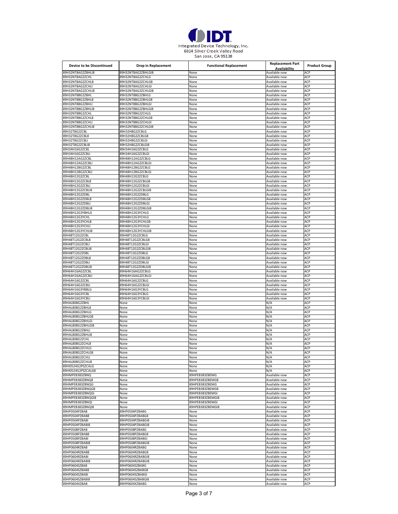

| <b>Device to be Discontinued</b>     | <b>Drop in Replacement</b>              | <b>Functional Replacement</b> | <b>Replacement Part</b><br>Availability | <b>Product Group</b> |
|--------------------------------------|-----------------------------------------|-------------------------------|-----------------------------------------|----------------------|
| 89H32NT8AG2ZBHLI8                    | 89H32NT8AG2ZBHLGI8                      | None                          | Available now                           | ACP                  |
| 89H32NT8AG2ZCHL                      | 89H32NT8AG2ZCHLG                        | None                          | Available now                           | ACP                  |
| 39H32NT8AG2ZCHL8<br>89H32NT8AG2ZCHLI | 89H32NT8AG2ZCHLG8                       | None                          | Available now                           | ACP<br>ACP           |
| 89H32NT8AG2ZCHLI8                    | 89H32NT8AG2ZCHLGI<br>89H32NT8AG2ZCHLGI8 | None<br>None                  | Available now<br>Available now          | ACP                  |
| 89H32NT8BG2ZBHL                      | 89H32NT8BG2ZBHLG                        | None                          | Available now                           | ACP                  |
| 89H32NT8BG2ZBHL8                     | 89H32NT8BG2ZBHLG8                       | None                          | Available now                           | ACP                  |
| 89H32NT8BG2ZBHLI                     | 89H32NT8BG2ZBHLGI                       | None                          | Available now                           | ACP                  |
| 89H32NT8BG2ZBHLI8                    | 89H32NT8BG2ZBHLGI8                      | None                          | Available now                           | ACP                  |
| 89H32NT8BG2ZCHL                      | 89H32NT8BG2ZCHLG                        | None                          | Available now                           | ACP                  |
| 89H32NT8BG2ZCHL8                     | 89H32NT8BG2ZCHLG8                       | None                          | Available now                           | ACP                  |
| 89H32NT8BG2ZCHLI                     | 89H32NT8BG2ZCHLGI                       | None                          | Available now                           | ACP                  |
| 89H32NT8BG2ZCHLI8                    | 89H32NT8BG2ZCHLGI8                      | None                          | Available now                           | ACP                  |
| 89H32T8G2ZCBL                        | 89H32H8G2ZCBLG                          | None                          | Available now                           | ACP                  |
| 89H32T8G2ZCBL8                       | 89H32H8G2ZCBLG8                         | None                          | Available now                           | ACP                  |
| 89H32T8G2ZCBLI                       | 89H32H8G2ZCBLGI                         | None                          | Available now                           | ACP                  |
| 89H32T8G2ZCBLI8                      | 89H32H8G2ZCBLGI8                        | None                          | Available now                           | ACP                  |
| 89H34H16G2ZCBL                       | 89H34H16G2ZCBLG                         | None                          | Available now                           | ACP                  |
| 89H34H16G2ZCBLI                      | 89H34H16G2ZCBLGI                        | None                          | Available now                           | ACP                  |
| 89H48H12AG2ZCBL                      | 89H48H12AG2ZCBLG                        | None                          | Available now                           | ACP                  |
| 89H48H12AG2ZCBLI<br>89H48H12BG2ZCBL  | 89H48H12AG2ZCBLGI<br>89H48H12BG2ZCBLG   | None<br>None                  | Available now<br>Available now          | ACP<br>ACP           |
| 89H48H12BG2ZCBLI                     |                                         | None                          | Available now                           | ACP                  |
| 89H48H12G2ZCBL                       | 89H48H12BG2ZCBLGI<br>89H48H12G2ZCBLG    |                               | Available now                           | ACP                  |
| 89H48H12G2ZCBL8                      | 89H48H12G2ZCBLG8                        | None<br>None                  | Available now                           | ACP                  |
| 89H48H12G2ZCBLI                      | 89H48H12G2ZCBLGI                        | None                          | Available now                           | ACP                  |
| 89H48H12G2ZCBLI8                     | 89H48H12G2ZCBLGI8                       | None                          | Available now                           | ACP                  |
| 89H48H12G2ZDBL                       | 89H48H12G2ZDBLG                         | None                          | Available now                           | ACP                  |
| 89H48H12G2ZDBL8                      | 89H48H12G2ZDBLG8                        | None                          | Available now                           | ACP                  |
| 89H48H12G2ZDBLI                      | 89H48H12G2ZDBLGI                        | None                          | Available now                           | ACP                  |
| 39H48H12G2ZDBLI8                     | 89H48H12G2ZDBLGI8                       | None                          | Available now                           | ACP                  |
| 89H48H12G3YBHLG                      | 89H48H12G3YCHLG                         | None                          | Available now                           | ACP                  |
| 89H48H12G3YCHL                       | 89H48H12G3YCHLG                         | None                          | Available now                           | ACP                  |
| 89H48H12G3YCHL8                      | 89H48H12G3YCHLG8                        | None                          | Available now                           | ACP                  |
| 89H48H12G3YCHLI                      | 89H48H12G3YCHLGI                        | None                          | Available now                           | ACP                  |
| 89H48H12G3YCHLI8                     | 89H48H12G3YCHLGI8                       | None                          | Available now                           | ACP                  |
| 89H48T12G2ZCBL                       | 89H48T12G2ZCBLG                         | None                          | Available now                           | ACP                  |
| 89H48T12G2ZCBL8                      | 89H48T12G2ZCBLG8                        | None                          | Available now                           | ACP                  |
| 89H48T12G2ZCBLI                      | 89H48T12G2ZCBLGI                        | None                          | Available now                           | ACP                  |
| 89H48T12G2ZCBLI8                     | 89H48T12G2ZCBLGI8                       | None                          | Available now                           | ACP                  |
| 89H48T12G2ZDBL                       | 89H48T12G2ZDBLG                         | None                          | Available now                           | ACP                  |
| 89H48T12G2ZDBL8                      | 89H48T12G2ZDBLG8                        | None                          | Available now                           | ACP                  |
| 89H48T12G2ZDBLI                      | 89H48T12G2ZDBLGI                        | None                          | Available now                           | ACP                  |
| 89H48T12G2ZDBLI8                     | 89H48T12G2ZDBLGI8                       | None                          | Available now                           | ACP                  |
| 89H64H16AG2ZCBL                      | 89H64H16AG2ZCBLG                        | None                          | Available now                           | ACP                  |
| 89H64H16AG2ZCBLI                     | 89H64H16AG2ZCBLGI                       | None                          | Available now                           | ACP                  |
| 89H64H16G2ZCBL                       | 89H64H16G2ZCBLG                         | None                          | Available now                           | ACP                  |
| 89H64H16G2ZCBLI                      | 89H64H16G2ZCBLGI                        | None                          | Available now                           | ACP                  |
| 89H64H16G3YBBLG                      | 89H64H16G3YCBLG                         | None                          | Available now                           | ACP                  |
| 89H64H16G3YCBL                       | 89H64H16G3YCBLG                         | None                          | Available now                           | ACP                  |
| 89H64H16G3YCBLI                      | 89H64H16G3YCBLGI                        | None                          | Available now                           | ACP                  |
| 89HAL808G2ZBHL                       | None                                    | None                          | N/A                                     | ACP                  |
| 89HAL808G2ZBHL8<br>89HAL808G2ZBHLG   | None<br>None                            | None                          | N/A<br>N/A                              | ACP<br>ACP           |
| 89HAL808G2ZBHLG8                     | None                                    | None<br>None                  | N/A                                     | ACP                  |
| 39HAL808G2ZBHLGI                     | None                                    | None                          | N/A                                     | ACP                  |
| 89HAL808G2ZBHLGI8                    | None                                    | None                          | N/A                                     | ACP                  |
| 89HAL808G2ZBHLI                      | None                                    | None                          | N/A                                     | ACP                  |
| 89HAL808G2ZBHLI8                     | None                                    | None                          | N/A                                     | ACP                  |
| 89HAL808G2ZCHL                       | None                                    | None                          | N/A                                     | ACP                  |
| 89HAL808G2ZCHL8                      | None                                    | None                          | N/A                                     | ACP                  |
| 9HAL808G2ZCHLG                       |                                         | vone                          | 97 A                                    |                      |
| 89HAL808G2ZCHLG8                     | None                                    | None                          | N/A                                     | ACP                  |
| 89HAL808G2ZCHLI                      | None                                    | None                          | N/A                                     | ACP                  |
| 89HAL808G2ZCHLI8                     | None                                    | None                          | N/A                                     | ACP                  |
| 89HI0524G2PSZCALG                    | None                                    | None                          | N/A                                     | ACP                  |
| 89HI0524G2PSZCALG8                   | None                                    | None                          | N/A                                     | ACP                  |
| 89HMPEB383ZBNQ                       | None                                    | 89HPEB383ZBEMG                | Available now                           | ACP                  |
| 89HMPEB383ZBNQ8                      | None                                    | 89HPEB383ZBEMG8               | Available now                           | ACP                  |
| 89HMPEB383ZBNQG                      | None                                    | 89HPEB383ZBEMG                | Available now                           | ACP                  |
| 89HMPEB383ZBNQG8                     | None                                    | 89HPEB383ZBEMG8               | Available now                           | ACP                  |
| 89HMPEB383ZBNQGI                     | None                                    | 89HPEB383ZBEMGI               | Available now                           | ACP                  |
| 89HMPEB383ZBNQGI8                    | None                                    | 89HPEB383ZBEMGI8              | Available now                           | ACP                  |
| 89HMPEB383ZBNQI                      | None                                    | 89HPEB383ZBEMGI               | Available now                           | ACP                  |
| 89HMPEB383ZBNQI8                     | None                                    | 89HPEB383ZBEMGI8              | Available now                           | ACP                  |
| 89HP0504PZBAB<br>89HP0504PZBAB8      | 89HP0504PZBABG<br>89HP0504PZBABG8       | None<br>None                  | Available now<br>Available now          | ACP<br>ACP           |
| 89HP0504PZBABI                       | 89HP0504PZBABGI8                        | None                          | Available now                           | ACP                  |
| 89HP0504PZBABI8                      | 89HP0504PZBABGI8                        | None                          | Available now                           | ACP                  |
| 89HP0508PZBAB                        | 89HP0508PZBABG                          | None                          | Available now                           | ACP                  |
| 89HP0508PZBAB8                       | 89HP0508PZBABG8                         | None                          | Available now                           | ACP                  |
| 89HP0508PZBABI                       | 89HP0508PZBABGI                         | None                          | Available now                           | ACP                  |
| 89HP0508PZBABI8                      | 89HP0508PZBABGI8                        | None                          | Available now                           | ACP                  |
| 89HP0604RZBAB                        | 89HP0604RZBABG                          | None                          | Available now                           | ACP                  |
| 89HP0604RZBAB8                       | 89HP0604RZBABG8                         | None                          | Available now                           | ACP                  |
| 89HP0604RZBABI                       | 89HP0604RZBABGI8                        | None                          | Available now                           | ACP                  |
| 89HP0604RZBABI8                      | 89HP0604RZBABGI8                        | None                          | Available now                           | ACP                  |
| 89HP0604SZBAB                        | 89HP0604SZBABG                          | None                          | Available now                           | ACP                  |
| 89HP0604SZBAB8                       | 89HP0604SZBABG8                         | None                          | Available now                           | ACP                  |
| 89HP0604SZBABI                       | 89HP0604SZBABGI                         | None                          | Available now                           | ACP                  |
|                                      |                                         |                               |                                         | ACP                  |
| 89HP0604SZBABI8                      | 89HP0604SZBABGI8                        | None                          | Available now                           |                      |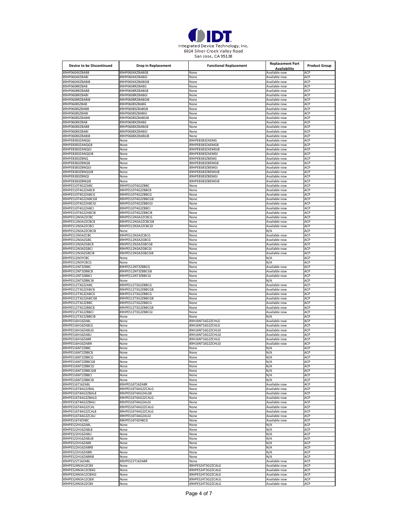

| <b>Device to be Discontinued</b>        | Drop in Replacement                      | <b>Functional Replacement</b>       | <b>Replacement Part</b>        | <b>Product Group</b> |
|-----------------------------------------|------------------------------------------|-------------------------------------|--------------------------------|----------------------|
|                                         |                                          |                                     | Availability                   |                      |
| 89HP0604XZBAB8                          | 89HP0604XZBABG8                          | None                                | Available now                  | ACP                  |
| 89HP0604XZBABI                          | 89HP0604XZBABGI                          | None                                | Available now                  | ACP                  |
| 89HP0604XZBABI8                         | 89HP0604XZBABGI8                         | None                                | Available now                  | ACP                  |
| 89HP0608RZBAB                           | 89HP0608RZBABG                           | None                                | Available now                  | ACP                  |
| 89HP0608RZBAB8                          | 89HP0608RZBABG8                          | None                                | Available now                  | ACP                  |
| 89HP0608RZBABI                          | 89HP0608RZBABGI                          | None                                | Available now                  | ACP                  |
| 89HP0608RZBABI8                         | 89HP0608RZBABGI8                         | None                                | Available now                  | ACP                  |
| 89HP0608SZBAB                           | 89HP0608SZBABG                           | None                                | Available now                  | ACP                  |
| 89HP0608SZBAB8                          | 89HP0608SZBABG8                          | None                                | Available now                  | ACP                  |
| 89HP0608SZBABI                          | 89HP0608SZBABGI                          | None                                | Available now                  | ACP                  |
| 89HP0608SZBABI8                         | 89HP0608SZBABGI8                         | None                                | Available now                  | ACP                  |
| 89HP0608XZBAB                           | 89HP0608XZBABG                           | None                                | Available now                  | ACP                  |
| 89HP0608XZBAB8                          | 89HP0608XZBABG8                          | None                                | Available now                  | ACP                  |
| 89HP0608XZBABI                          | 89HP0608XZBABGI                          | None                                | Available now                  | ACP                  |
| 89HP0608XZBABI8                         | 89HP0608XZBABGI8                         | None                                | Available now                  | ACP                  |
| 89HPEB383ZANQG                          | None                                     | 89HPEB383ZAEMG                      | Available now                  | ACP                  |
| 89HPEB383ZANQG8                         | None                                     | 89HPEB383ZAEMG8                     | Available now<br>Available now | ACP                  |
| 89HPEB383ZANQGI<br>89HPEB383ZANQGI8     | None                                     | 89HPEB383ZAEMGI8                    |                                | ACP<br>ACP           |
| 89HPEB383ZBNQ                           | None<br>None                             | 89HPEB383ZAEMGI<br>89HPEB383ZBEMG   | Available now<br>Available now | ACP                  |
| 89HPEB383ZBNQ8                          |                                          | 89HPEB383ZBEMG8                     | Available now                  | ACP                  |
| 89HPEB383ZBNQG                          | None<br>None                             | 89HPEB383ZBEMGI                     | Available now                  | ACP                  |
|                                         |                                          |                                     |                                | ACP                  |
| 89HPEB383ZBNQGI8<br>89HPEB383ZBNQI      | None                                     | 89HPEB383ZBEMGI8<br>89HPEB383ZBEMGI | Available now<br>Available now | ACP                  |
| 89HPEB383ZBNQI8                         | None<br>None                             | 89HPEB383ZBEMGI8                    | Available now                  | ACP                  |
|                                         |                                          |                                     |                                | ACP                  |
| 89HPES10T4G2ZABC                        | 89HPES10T4G2ZBBC<br>89HPES10T4G2ZBBC8    | None                                | Available now<br>Available now | ACP                  |
| 89HPES10T4G2ZABC8<br>89HPES10T4G2ZABCG  | 89HPES10T4G2ZBBCG                        | None<br>None                        | Available now                  | ACP                  |
| 89HPES10T4G2ZABCG8                      | 89HPES10T4G2ZBBCG8                       | None                                | Available now                  | ACP                  |
|                                         | 89HPES10T4G2ZBBCGI                       |                                     | Available now                  |                      |
| 89HPES10T4G2ZABCGI<br>89HPES10T4G2ZABCI | 89HPES10T4G2ZBBCI                        | None<br>None                        | Available now                  | ACP<br>ACP           |
| 89HPES10T4G2ZABCI8                      | 89HPES10T4G2ZBBCI8                       | None                                | Available now                  | ACP                  |
| 89HPES12N3A2ZCBC                        | 89HPES12N3A2ZCBCG                        |                                     | Available now                  | ACP                  |
|                                         |                                          | None                                |                                | ACP                  |
| 89HPES12N3A2ZCBC8<br>89HPES12N3A2ZCBCI  | 89HPES12N3A2ZCBCG8<br>89HPES12N3A2ZCBCGI | None                                | Available now<br>Available now | ACP                  |
| 89HPES12N3A2ZCBCI8                      | None                                     | None<br>None                        | N/A                            | ACP                  |
| 89HPES12N3AZCBC                         | 89HPES12N3AZCBCG                         |                                     |                                | ACP                  |
| 89HPES12N3AZGBC                         | 89HPES12N3AZGBCG                         | None<br>None                        | Available now<br>Available now | ACP                  |
| 89HPES12N3AZGBC8                        | 89HPES12N3AZGBCG8                        | None                                | Available now                  | ACP                  |
| 89HPES12N3AZGBCI                        | 89HPES12N3AZGBCGI                        |                                     | Available now                  | ACP                  |
| 89HPES12N3AZGBCI8                       | 89HPES12N3AZGBCGI8                       | None<br>None                        | Available now                  | ACP                  |
| 89HPES12N3YCBC                          | None                                     | None                                | N/A                            | ACP                  |
| 89HPES12N3YCBCG                         | None                                     | None                                | N/A                            | ACP                  |
| 89HPES12NT3ZBBC                         | 89HPES12NT3ZBBCG                         | None                                | Available now                  | ACP                  |
| 89HPES12NT3ZBBC8                        | 89HPES12NT3ZBBCG8                        | None                                | Available now                  | ACP                  |
| 89HPES12NT3ZBBCI                        | 89HPES12NT3ZBBCGI                        | None                                | Available now                  | ACP                  |
| 89HPES12NT3ZBBCI8                       | None                                     | None                                | N/A                            | ACP                  |
| 89HPES12T3G2ZABC                        | 89HPES12T3G2ZBBCG                        | None                                | Available now                  | ACP                  |
| 89HPES12T3G2ZABC8                       | 89HPES12T3G2ZBBCG8                       | None                                | Available now                  | ACP                  |
| 89HPES12T3G2ZABCG                       | 89HPES12T3G2ZBBCG                        | None                                | Available now                  | ACP                  |
| 89HPES12T3G2ZABCG8                      | 89HPES12T3G2ZBBCG8                       | None                                | Available now                  | ACP                  |
| 89HPES12T3G2ZBBC                        | 89HPES12T3G2ZBBCG                        | None                                | Available now                  | ACP                  |
| 89HPES12T3G2ZBBC8                       | 89HPES12T3G2ZBBCG8                       | None                                | Available now                  | ACP                  |
| 89HPES12T3G2ZBBCI                       | 89HPES12T3G2ZBBCGI                       | None                                | Available now                  | ACP                  |
| 89HPES12T3G2ZBBCI8                      | None                                     | None                                | N/A                            | ACP                  |
| 89HPES16H16ZABL                         | None                                     | 89H16NT16G2ZCHLG                    | Available now                  | ACP                  |
| 89HPES16H16ZABLG                        | None                                     | 89H16NT16G2ZCHLG                    | Available now                  | ACP                  |
| 89HPES16H16ZABLGI                       | None                                     | 39H16NT16G2ZCHLGI                   | Available now                  | ACP                  |
| 89HPES16H16ZABLI                        | None                                     | 89H16NT16G2ZCHLGI                   | Available now                  | ACP                  |
| 89HPES16H16ZABR                         | None                                     | 89H16NT16G2ZCHLG                    | Available now                  | ACP                  |
| 89HPES16H16ZABRI                        | None                                     | 89H16NT16G2ZCHLGI                   | Available now                  | ACP                  |
| 89HPES16NT2ZBBC                         | None                                     | None                                | N/A                            | ACP                  |
| 89HPES16NT2ZBBC8                        | None                                     | None                                | N/A                            | ACP                  |
| 89HPES16NT2ZBBCG                        | None                                     | None                                | N/A                            | ACP                  |
| 89HPES16NT2ZBBCG8                       | None                                     | None                                | N/A                            | ACP                  |
| 89HPES16NT2ZBBCGI                       | None                                     | None                                | N/A                            | ACP                  |
| 89HPES16NT2ZBBCGI8                      | None                                     | None                                | N/A                            | ACP                  |
| 89HPES16NT2ZBBCI                        | None                                     | None                                | N/A                            | ACP                  |
| 89HPES16NT2ZBBCI8                       | None                                     | None                                | N/A                            | ACP                  |
| 89HPES16T16ZABL                         | 89HPES16T16ZABR                          | None                                | Available now                  | ACP                  |
| 89HPES16T4AG2ZBAL                       | 89HPES16T4AG2ZCALG                       | None                                | Available now                  | ACP                  |
| 89HPES16T4AG2ZBAL8                      | 89HPES16T4AG2ALG8                        | None                                | Available now                  | ACP                  |
| 89HPES16T4AG2ZBALG                      | 89HPES16T4AG2ZCALG                       | None                                | Available now                  | ACP                  |
| 89HPES16T4AG2ZBALI                      | 89HPES16T4AG2ALGI                        | None                                | Available now                  | ACP                  |
| 89HPES16T4AG2ZCAL                       | 89HPES16T4AG2ZCALG                       | None                                | Available now                  | ACP                  |
| 89HPES16T4AG2ZCAL8                      | 89HPES16T4AG2ZCALG                       | None                                | Available now                  | ACP                  |
| 89HPES16T4AG2ZCALI                      | 89HPES16T4AG2ALGI                        | None                                | Available now                  | ACP                  |
| 89HPES16T4ZHBC                          | 89HPES16T4ZHBCG                          | None                                | Available now                  | ACP                  |
| 89HPES22H16ZABL                         | None                                     | None                                | N/A                            | ACP                  |
| 89HPES22H16ZABL8                        | None                                     | None                                | N/A                            | ACP                  |
| 89HPES22H16ZABLI                        | None                                     | None                                | N/A                            | ACP                  |
| 89HPES22H16ZABLI8                       | None                                     | None                                | N/A                            | ACP                  |
| 89HPES22H16ZABR                         | None                                     | None                                | N/A                            | ACP                  |
| 89HPES22H16ZABR8                        | None                                     | None                                | N/A                            | ACP                  |
| 89HPES22H16ZABRI                        | None                                     | None                                | N/A                            | ACP                  |
| 89HPES22H16ZABRI8                       | None                                     | None                                | N/A                            | ACP                  |
| 89HPES22T16ZABL                         | 89HPES22T16ZABR                          | None                                | Available now                  | ACP                  |
| 89HPES24N3A1ZCBX                        | None                                     | 89HPES24T3G2ZCALG                   | Available now                  | ACP                  |
| 89HPES24N3A1ZCBXG                       | None                                     | 89HPES24T3G2ZCALG                   | Available now                  | ACP                  |
| 89HPES24N3A1ZCBXGI                      | None                                     | 89HPES24T3G2ZCALG                   | Available now                  | ACP                  |
| 89HPES24N3A1ZCBXI                       | None                                     | 89HPES24T3G2ZCALG                   | Available now                  | ACP                  |
| 89HPES24N3A2ZCBX                        | None                                     | 89HPES24T3G2ZCALG                   | Available now                  | ACP                  |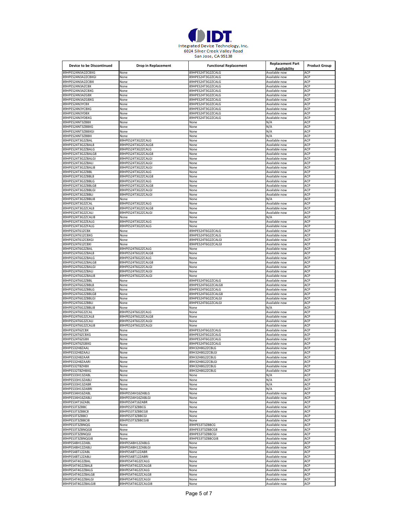

| <b>Device to be Discontinued</b> | <b>Drop in Replacement</b>              | <b>Functional Replacement</b> | <b>Replacement Part</b><br>Availability | <b>Product Group</b> |
|----------------------------------|-----------------------------------------|-------------------------------|-----------------------------------------|----------------------|
| 89HPES24N3A2ZCBXG                | None                                    | 89HPES24T3G2ZCALG             | Available now                           | ACP                  |
| 89HPES24N3A2ZCBXGI               | None                                    | 89HPES24T3G2ZCALG             | Available now                           | ACP                  |
| 89HPES24N3A2ZCBXI                | None                                    | 89HPES24T3G2ZCALG             | Available now                           | ACP                  |
| 89HPES24N3AZCBX                  | None                                    | 89HPES24T3G2ZCALG             | Available now                           | ACP                  |
| 89HPES24N3AZCBXG                 | None                                    | 89HPES24T3G2ZCALG             | Available now                           | ACP                  |
| 89HPES24N3AZGBX                  | None                                    | 89HPES24T3G2ZCALG             | Available now                           | ACP                  |
| 89HPES24N3AZGBXG                 | None                                    | 89HPES24T3G2ZCALG             | Available now                           | ACP                  |
| 89HPFS24N3YCBX                   | None                                    | 89HPES24T3G2ZCALG             | Available now                           | ACP                  |
| 89HPES24N3YCBXG                  | None                                    | 89HPES24T3G2ZCALG             | Available now                           | ACP                  |
| 89HPES24N3YDBX                   | None                                    | 89HPES24T3G2ZCALG             | Available now                           | ACP                  |
| 89HPES24N3YDBXG                  | None                                    | 89HPES24T3G2ZCALG             | Available now                           | ACP                  |
| 89HPES24NT3ZBBX                  | None                                    | None                          | N/A                                     | ACP                  |
| 89HPES24NT3ZBBXG                 | None                                    | None                          | N/A                                     | ACP                  |
| 89HPES24NT3ZBBXGI                | None                                    | None                          | N/A                                     | ACP                  |
| 89HPES24NT3ZBBXI                 | None                                    | None                          | N/A                                     | ACP                  |
| 89HPES24T3G2ZBAL                 | 89HPES24T3G2ZCALG                       | None                          | Available now                           | ACP                  |
| 89HPES24T3G2ZBAL8                | 89HPES24T3G2ZCALG8                      | None                          | Available now                           | ACP                  |
| 89HPES24T3G2ZBALG                | 89HPES24T3G2ZCALG                       | None                          | Available now                           | ACP                  |
| 89HPES24T3G2ZBALG8               | 89HPES24T3G2ZCALG8                      | None                          | Available now                           | ACP                  |
| 89HPES24T3G2ZBALG                | 89HPES24T3G2ZCALGI                      | None                          | Available now                           | ACP                  |
| 89HPES24T3G2ZBALI                | 89HPES24T3G2ZCALGI                      | None                          | Available now                           | ACP                  |
| 89HPES24T3G2ZBALI8               | 89HPES24T3G2ZCALGI                      | None                          | Available now                           | ACP                  |
| 89HPES24T3G2ZBBL                 | 89HPES24T3G2ZCALG                       | None                          | Available now                           | ACP                  |
| 89HPES24T3G2ZBBL8                | 89HPES24T3G2ZCALG8                      | None                          | Available now                           | ACP                  |
| 89HPES24T3G2ZBBLG                |                                         | None                          | Available now                           | ACP                  |
| 89HPES24T3G2ZBBLG8               | 89HPES24T3G2ZCALG<br>89HPES24T3G2ZCALG8 |                               | Available now                           | ACP                  |
| 89HPES24T3G2ZBBLGI               | 89HPES24T3G2ZCALGI                      | None                          | Available now                           | ACP                  |
| 89HPES24T3G2ZBBLI                |                                         | None                          |                                         |                      |
|                                  | 89HPES24T3G2ZCALGI                      | None                          | Available now                           | ACP                  |
| 89HPES24T3G2ZBBLI8               | None                                    | None                          | N/A                                     | ACP                  |
| 89HPES24T3G2ZCAL                 | 89HPES24T3G2ZCALG                       | None                          | Available now                           | ACP                  |
| 89HPES24T3G2ZCAL8                | 89HPES24T3G2ZCALG8                      | None                          | Available now                           | ACP                  |
| 89HPES24T3G2ZCALI                | 89HPES24T3G2ZCALGI                      | None                          | Available now                           | ACP                  |
| 89HPES24T3G2ZCALI8               | None                                    | None                          | N/A                                     | ACP                  |
| 89HPES24T3G2ZEALG                | 89HPES24T3G2ZCALG                       | None                          | Available now                           | ACP                  |
| 89HPES24T3G2ZFALG                | 89HPES24T3G2ZCALG                       | None                          | Available now                           | ACP                  |
| 89HPES24T61ZCBX                  | None                                    | 89HPES24T6G2ZCALG             | Available now                           | ACP                  |
| 89HPES24T61ZCBXG                 | None                                    | 89HPES24T6G2ZCALG             | Available now                           | ACP                  |
| 89HPES24T61ZCBXGI                | None                                    | 89HPES24T6G2ZCALGI            | Available now                           | ACP                  |
| 89HPES24T61ZCBXI                 | None                                    | 89HPES24T6G2ZCALGI            | Available now                           | ACP                  |
| 89HPES24T6G2ZBAL                 | 89HPES24T6G2ZCALG                       | None                          | Available now                           | ACP                  |
| 89HPES24T6G2ZBAL8                | 89HPES24T6G2ZCALG8                      | None                          | Available now                           | ACP                  |
| 89HPES24T6G2ZBALG                | 89HPES24T6G2ZCALG                       | None                          | Available now                           | ACP                  |
| 89HPES24T6G2ZBALG8               | 89HPES24T6G2ZCALG8                      | None                          | Available now                           | ACP                  |
| 89HPES24T6G2ZBALGI               | 89HPES24T6G2ZCALGI                      | None                          | Available now                           | ACP                  |
| 89HPES24T6G2ZBALI                | 89HPES24T6G2ZCALGI                      | None                          | Available now                           | ACP                  |
| 89HPES24T6G2ZBALI8               | 89HPES24T6G2ZCALGI                      | None                          | Available now                           | ACP                  |
| 89HPES24T6G2ZBBL                 | None                                    | 89HPES24T6G2ZCALG             | Available now                           | ACP                  |
| 89HPES24T6G2ZBBL8                | None                                    | 89HPES24T6G2ZCALG8            | Available now                           | ACP                  |
| 89HPES24T6G2ZBBLG                | None                                    | 89HPES24T6G2ZCALG             | Available now                           | ACP                  |
| 89HPES24T6G2ZBBLG8               | None                                    | 89HPES24T6G2ZCALG8            | Available now                           | ACP                  |
| 89HPES24T6G2ZBBLGI               | None                                    | 89HPES24T6G2ZCALGI            | Available now                           | ACP                  |
| 89HPES24T6G2ZBBLI                | None                                    | 89HPES24T6G2ZCALGI            | Available now                           | ACP                  |
| 89HPES24T6G2ZBBLI8               | None                                    | None                          | N/A                                     | ACP                  |
| 89HPES24T6G2ZCAL                 | 89HPES24T6G2ZCALG                       | None                          | Available now                           | ACP                  |
| 89HPES24T6G2ZCAL8                | 89HPES24T6G2ZCALG8                      | None                          | Available now                           | ACP                  |
| 89HPES24T6G2ZCALI                | 89HPES24T6G2ZCALGI                      | None                          | Available now                           | ACP                  |
| 89HPES24T6G2ZCALI8               | 89HPES24T6G2ZCALGI                      | None                          | Available now                           | ACP                  |
| 89HPES24T6ZCBX                   | None                                    | 89HPES24T6G2ZCALG             | Available now                           | ACP                  |
| 89HPES24T6ZCBXG                  | None                                    | 89HPES24T6G2ZCALG             | Available now                           | ACP                  |
| 89HPES24T6ZGBX                   | None                                    | 89HPES24T6G2ZCALG             | Available now                           | ACP                  |
| 89HPES24T6ZGBXG                  | None                                    | 89HPES24T6G2ZCALG             | Available now                           | ACP                  |
| 39HPES32H8ZAAL                   | von                                     | 89H32H8G2ZCBLG                | Available no                            |                      |
| 89HPES32H8ZAALI                  | None                                    | 89H32H8G2ZCBLGI               | Available now                           | ACP                  |
| 89HPES32H8ZAAR                   | None                                    | 89H32H8G2ZCBLG                | Available now                           | ACP                  |
| 89HPES32H8ZAARI                  | None                                    | 89H32H8G2ZCBLGI               | Available now                           | ACP                  |
| 89HPES32T8ZHBX                   | None                                    | 89H32H8G2ZCBLG                | Available now                           | ACP                  |
| 89HPES32T8ZHBXG                  | None                                    | 89H32H8G2ZCBLG                | Available now                           | ACP                  |
| 89HPES33H13ZABL                  | None                                    | None                          | N/A                                     | ACP                  |
| 89HPES33H13ZABLI                 | None                                    | None                          | N/A                                     | ACP                  |
| 89HPES33H13ZABR                  | None                                    | None                          | N/A                                     | ACP                  |
| 89HPES33H13ZABRI                 | None                                    | None                          | N/A                                     | ACP                  |
| 89HPES34H16ZABL                  | 89HPES34H16ZABLG                        | None                          | Available now                           | ACP                  |
| 89HPES34H16ZABLI                 | 89HPES34H16ZABLGI                       | None                          | Available now                           | ACP                  |
| 89HPES34T16ZABL                  | 89HPES34T16ZABR                         | None                          | Available now                           | ACP                  |
| 89HPES3T3ZBBC                    | 89HPES3T3ZBBCG                          | None                          | Available now                           | ACP                  |
| 89HPES3T3ZBBC8                   | 89HPES3T3ZBBCG8                         | None                          | Available now                           | ACP                  |
| 89HPES3T3ZBBCI                   | 89HPES3T3ZBBCGI                         | None                          | Available now                           | ACP                  |
| 89HPES3T3ZBBCI8                  | 89HPES3T3ZBBCGI8                        | None                          | Available now                           | ACP                  |
| 89HPES3T3ZBNQG                   | None                                    | 89HPES3T3ZBBCG                | Available now                           | ACP                  |
| 89HPES3T3ZBNQG8                  | None                                    | 89HPES3T3ZBBCG8               | Available now                           | ACP                  |
| 89HPES3T3ZBNQGI                  | None                                    | 89HPES3T3ZBBCGI               | Available now                           | ACP                  |
| 89HPES3T3ZBNQGI8                 | None                                    | 89HPES3T3ZBBCGI8              | Available now                           | ACP                  |
|                                  |                                         |                               |                                         |                      |
| 89HPES48H12ZABL                  | 89HPES48H12ZABLG                        | None                          | Available now                           | ACP                  |
| 89HPES48H12ZABLI                 | 89HPES48H12ZABLGI                       | None                          | Available now                           | ACP                  |
| 89HPES48T12ZABL                  | 89HPES48T12ZABR                         | None                          | Available now                           | ACP                  |
| 89HPES48T12ZABLI                 | 89HPES48T12ZABRI                        | None                          | Available now                           | ACP                  |
| 89HPES4T4G2ZBAL                  | 89HPES4T4G2ZCALG                        | None                          | Available now                           | ACP                  |
| 89HPES4T4G2ZBAL8                 | 89HPES4T4G2ZCALG8                       | None                          | Available now                           | ACP                  |
| 89HPES4T4G2ZBALG                 | 89HPES4T4G2ZCALG                        | None                          | Available now                           | ACP                  |
| 89HPES4T4G2ZBALG8                | 89HPES4T4G2ZCALG8                       | None                          | Available now                           | ACP                  |
| 89HPES4T4G2ZBALGI                | 89HPES4T4G2ZCALGI                       | None                          | Available now                           | ACP                  |
| 89HPES4T4G2ZBALGI8               | 89HPES4T4G2ZCALGI8                      | None                          | Available now                           | ACP                  |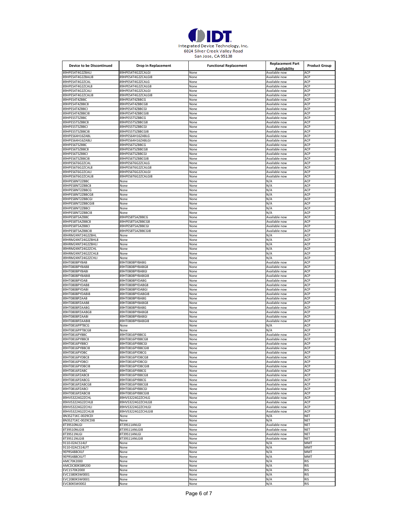

| Device to be Discontinued        | <b>Drop in Replacement</b>         | <b>Functional Replacement</b> | <b>Replacement Part</b><br>Availability | <b>Product Group</b> |
|----------------------------------|------------------------------------|-------------------------------|-----------------------------------------|----------------------|
| 89HPES4T4G2ZBALI                 | 89HPES4T4G2ZCALGI                  | None                          | Available now                           | ACP                  |
| 89HPES4T4G2ZBALI8                | 89HPES4T4G2ZCALGI8                 | None                          | Available now                           | ACP                  |
| 39HPES4T4G2ZCAL                  | 89HPES4T4G2ZCALG                   | None                          | Available now                           | ACP                  |
| 89HPES4T4G2ZCAL8                 | 89HPES4T4G2ZCALG8                  | None                          | Available now                           | ACP                  |
| 89HPES4T4G2ZCALI                 | 89HPES4T4G2ZCALGI                  | None                          | Available now                           | ACP                  |
| 89HPES4T4G2ZCALI8                | 89HPES4T4G2ZCALGI8                 | None                          | Available now                           | ACP                  |
| 89HPES4T4ZBBC                    | 89HPES4T4ZBBCG                     | None                          | Available now                           | ACP                  |
| 89HPES4T4ZBBC8                   | 89HPES4T4ZBBCG8                    | None                          | Available now                           | ACP                  |
| 89HPES4T4ZBBC                    | 89HPES4T4ZBBCGI                    | None                          | Available now                           | ACP                  |
| 89HPES4T4ZBBCI8                  | 89HPES4T4ZBBCGI8                   | None                          | Available now                           | ACP                  |
| 89HPES5T5ZBBC                    | 89HPES5T5ZBBCG                     | None                          | Available now                           | ACP<br>ACP           |
| 89HPES5T5ZBBC8<br>89HPES5T5ZBBCI | 89HPES5T5ZBBCG8<br>89HPES5T5ZBBCGI | None                          | Available now<br>Available now          | ACP                  |
| 89HPES5T5ZBBCI8                  |                                    | None                          |                                         |                      |
|                                  | 89HPES5T5ZBBCGI8                   | None                          | Available now                           | ACP                  |
| 89HPES64H16ZABL                  | 89HPES64H16ZABLG                   | None                          | Available now                           | ACP                  |
| 89HPES64H16ZABLI                 | 89HPES64H16ZABLGI                  | None                          | Available now                           | ACP                  |
| 89HPES6T5ZBBC                    | 89HPES6T5ZBBCG                     | None                          | Available now                           | ACP                  |
| 89HPES6T5ZBBC8                   | 89HPES6T5ZBBCG8                    | None                          | Available now                           | ACP                  |
| 89HPES6T5ZBBCI                   | 89HPES6T5ZBBCGI                    | None                          | Available now                           | ACP                  |
| 89HPES6T5ZBBCI8                  | 89HPES6T5ZBBCGI8                   | None                          | Available now                           | ACP                  |
| 89HPES6T6G2ZCAL                  | 89HPES6T6G2ZCALG                   | None                          | Available now                           | ACP                  |
| 89HPES6T6G2ZCAL8                 | 89HPES6T6G2ZCALG8                  | None                          | Available now                           | ACP                  |
| 89HPES6T6G2ZCALI                 | 89HPES6T6G2ZCALGI                  | None                          | Available now                           | ACP                  |
| 89HPES6T6G2ZCALI8                | 89HPES6T6G2ZCALGI8                 | None                          | Available now                           | ACP                  |
| 89HPES8NT2ZBBC                   | None                               | None                          | N/A                                     | ACP                  |
| 89HPES8NT2ZBBC8                  | None                               | None                          | N/A                                     | ACP                  |
| 89HPES8NT2ZBBCG                  | None                               | None                          | N/A                                     | ACP                  |
| 89HPES8NT2ZBBCG8                 | None                               | None                          | N/A                                     | ACP                  |
| 89HPES8NT2ZBBCGI                 | None                               | None                          | N/A                                     | ACP                  |
| 89HPES8NT2ZBBCGI8                | None                               | None                          | N/A                                     | ACP                  |
| 39HPES8NT2ZBBCI                  | None                               | None                          | N/A                                     | ACP                  |
| 89HPES8NT2ZBBCI8                 | None                               | None                          | N/A                                     | ACP                  |
| 89HPES8T5AZBBC                   | 89HPES8T5AZBBCG                    | None                          | Available now                           | ACP                  |
| 89HPES8T5AZBBC8                  | 89HPES8T5AZBBCG8                   | None                          | Available now                           | ACP                  |
| 89HPES8T5AZBBCI                  | 89HPES8T5AZBBCGI                   | None                          | Available now                           | ACP                  |
| 89HPES8T5AZBBCI8                 | 89HPES8T5AZBBCGI8                  | None                          | Available now                           | ACP                  |
| 89HRM24NT24G2ZBHL                | None                               | None                          | N/A                                     | ACP                  |
| 89HRM24NT24G2ZBHL8               | None                               | None                          | N/A                                     | ACP                  |
| 89HRM24NT24G2ZBHLI               | None                               | None                          | N/A                                     | ACP                  |
| 89HRM24NT24G2ZCHL                | None                               | None                          | N/A                                     | ACP                  |
| 89HRM24NT24G2ZCHL8               | None                               | None                          | N/A                                     | ACP                  |
| 89HRM24NT24G2ZCHLI               | None                               | None                          | N/A                                     | ACP                  |
| 89HT0808PYBAB                    | 89HT0808PYBABG                     |                               | Available now                           | ACP                  |
| 89HT0808PYBAB8                   | 89HT0808PYBABG8                    | None                          | Available now                           | ACP                  |
| 89HT0808PYBABI                   | 89HT0808PYBABGI                    | None                          | Available now                           | ACP                  |
|                                  |                                    | None                          |                                         |                      |
| 89HT0808PYBABI8                  | 89HT0808PYBABGI8                   | None                          | Available now                           | ACP                  |
| 89HT0808PYDAB                    | 89HT0808PYDABG                     | None                          | Available now                           | ACP                  |
| 89HT0808PYDAB8                   | 89HT0808PYDABG8                    | None                          | Available now                           | ACP                  |
| 89HT0808PYDABI                   | 89HT0808PYDABGI                    | None                          | Available now                           | ACP                  |
| 89HT0808PYDABI8                  | 89HT0808PYDABGI8                   | None                          | Available now                           | ACP                  |
| 89HT0808PZAAB                    | 89HT0808PYBABG                     | None                          | Available now                           | ACP                  |
| 89HT0808PZAAB8                   | 89HT0808PYBABG8                    | None                          | Available now                           | ACP                  |
| 89HT0808PZAABG                   | 89HT0808PYBABG                     | None                          | Available now                           | ACP                  |
| 89HT0808PZAABG8                  | 89HT0808PYBABG8                    | None                          | Available now                           | ACP                  |
| 89HT0808PZAABI                   | 89HT0808PYBABGI                    | None                          | Available now                           | ACP                  |
| 39HT0808PZAABI8                  | 89HT0808PYBABGI8                   | None                          | Available now                           | ACP                  |
| 89HT0816PPTBCG                   | None                               | None                          | N/A                                     | ACP                  |
| 89HT0816PPTBCG8                  | None                               | None                          | N/A                                     | ACP                  |
| 89HT0816PYBBC                    | 89HT0816PYBBCG                     | None                          | Available now                           | ACP                  |
| 89HT0816PYBBC8                   | 89HT0816PYBBCG8                    | None                          | Available now                           | ACP                  |
| 89HT0816PYBBCI                   | 89HT0816PYBBCGI                    | None                          | Available now                           | ACP                  |
| 9HT0816PYBBCI8                   | 39HT0816PYBBCGI8                   | vone                          | wanabie no                              |                      |
| 89HT0816PYDBC                    | 89HT0816PYDBCG                     | None                          | Available now                           | ACP                  |
| 89HT0816PYDBC8                   | 89HT0816PYDBCG8                    | None                          | Available now                           | ACP                  |
| 89HT0816PYDBCI                   | 89HT0816PYDBCGI                    | None                          | Available now                           | ACP                  |
| 89HT0816PYDBCI8                  | 89HT0816PYDBCGI8                   | None                          | Available now                           | ACP                  |
| 89HT0816PZABC                    | 89HT0816PYBBCG                     | None                          | Available now                           | ACP                  |
| 89HT0816PZABC8                   | 89HT0816PYBBCG8                    | None                          | Available now                           | ACP                  |
| 89HT0816PZABCG                   | 89HT0816PYBBCG                     | None                          | Available now                           | ACP                  |
| 89HT0816PZABCG8                  | 89HT0816PYBBCG8                    | None                          | Available now                           | ACP                  |
| 89HT0816PZABCI                   | 89HT0816PYBBCGI                    | None                          | Available now                           | ACP                  |
| 89HT0816PZABCI8                  | 89HT0816PYBBCGI8                   | None                          | Available now                           | ACP                  |
| 89HVS3224G2ZCHL                  | 89HVS3224G2ZCHLG                   | None                          | Available now                           | ACP                  |
| 89HVS3224G2ZCHL8                 | 89HVS3224G2ZCHLG8                  | None                          | Available now                           | ACP                  |
| 89HVS3224G2ZCHLI                 | 89HVS3224G2ZCHLGI                  | None                          | Available now                           | ACP                  |
| 89HVS3224G2ZCHLI8                | 89HVS3224G2ZCHLGI8                 | None                          | Available now                           | ACP                  |
| 8N3S271KC-0029CDI                | None                               | None                          | N/A                                     | <b>NET</b>           |
| 8N3S271KC-0029CDI8               | None                               | None                          | N/A                                     | <b>NET</b>           |
| 8T39S10NLGI                      | 8T39S11ANLGI                       | None                          | Available now                           | <b>NET</b>           |
| 8T39S10NLGI8                     | 8T39S11ANLGI8                      | None                          | Available now                           | <b>NET</b>           |
| 8T39S11NLGI                      | 8T39S11ANLGI                       | None                          | Available now                           | <b>NET</b>           |
| 8T39S11NLGI8                     | 8T39S11ANLGI8                      | None                          | Available now                           | <b>NET</b>           |
| 9110-02ACS14LF                   | None                               | None                          | N/A                                     | MMT                  |
| 9110-02ACS14LFT                  | None                               | None                          | N/A                                     | <b>MMT</b>           |
| 9EPRS488CKLF                     | None                               | None                          | N/A                                     | MMT                  |
| 9EPRS488CKLFT                    | None                               | None                          | N/A                                     | MM <sub>1</sub>      |
| AMC70K2000                       | None                               |                               | N/A                                     | <b>RIS</b>           |
| AMCDC80KSBR200                   | None                               | None                          |                                         | <b>RIS</b>           |
|                                  |                                    | None                          | N/A                                     |                      |
| EVC1570K2000                     | None                               | None                          | N/A                                     | <b>RIS</b>           |
| EVC1580KSW0001                   | None                               | None                          | N/A                                     | <b>RIS</b>           |
| EVC2080KSW0001                   | None                               | None                          | N/A                                     | <b>RIS</b>           |
| EVC80KSW0002                     | None                               | None                          | N/A                                     | <b>RIS</b>           |